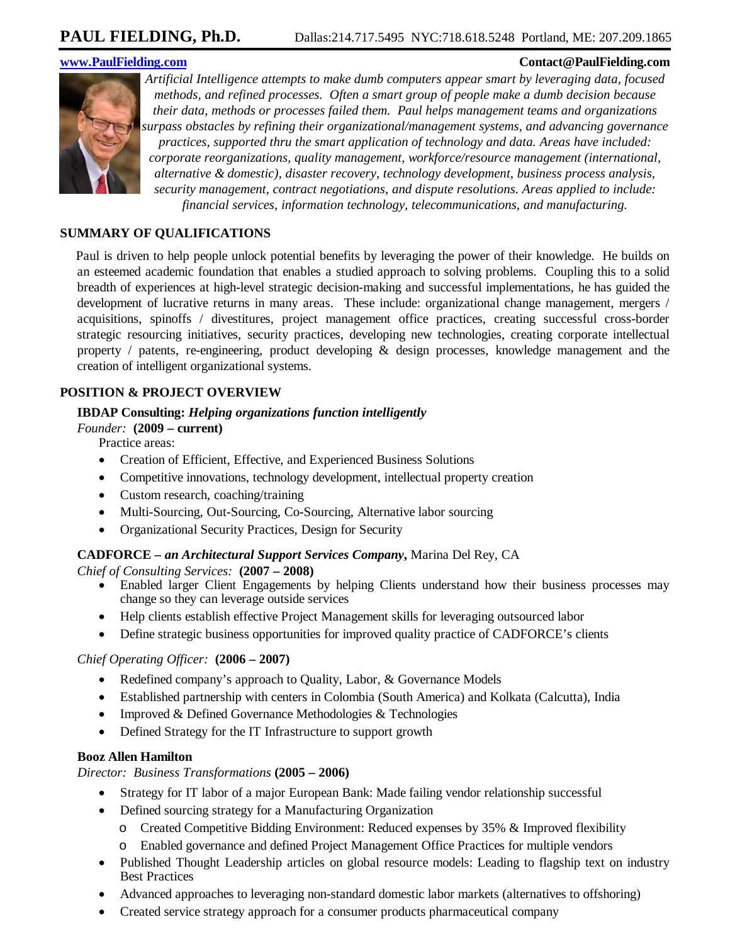#### **www.PaulFielding.com Contact@PaulFielding.com**



*Artificial Intelligence attempts to make dumb computers appear smart by leveraging data, focused methods, and refined processes. Often a smart group of people make a dumb decision because their data, methods or processes failed them. Paul helps management teams and organizations surpass obstacles by refining their organizational/management systems, and advancing governance practices, supported thru the smart application of technology and data. Areas have included: corporate reorganizations, quality management, workforce/resource management (international, alternative & domestic), disaster recovery, technology development, business process analysis, security management, contract negotiations, and dispute resolutions. Areas applied to include: financial services, information technology, telecommunications, and manufacturing.*

#### **SUMMARY OF QUALIFICATIONS**

Paul is driven to help people unlock potential benefits by leveraging the power of their knowledge. He builds on an esteemed academic foundation that enables a studied approach to solving problems. Coupling this to a solid breadth of experiences at high-level strategic decision-making and successful implementations, he has guided the development of lucrative returns in many areas. These include: organizational change management, mergers / acquisitions, spinoffs / divestitures, project management office practices, creating successful cross-border strategic resourcing initiatives, security practices, developing new technologies, creating corporate intellectual property / patents, re-engineering, product developing & design processes, knowledge management and the creation of intelligent organizational systems.

#### **POSITION & PROJECT OVERVIEW**

#### **IBDAP Consulting:** *Helping organizations function intelligently*

 *Founder:* **(2009 – current)** 

Practice areas:

- Creation of Efficient, Effective, and Experienced Business Solutions
- Competitive innovations, technology development, intellectual property creation
- Custom research, coaching/training
- Multi-Sourcing, Out-Sourcing, Co-Sourcing, Alternative labor sourcing
- Organizational Security Practices, Design for Security

#### **CADFORCE** *– an Architectural Support Services Company***,** Marina Del Rey, CA

 *Chief of Consulting Services:* **(2007 – 2008)** 

- Enabled larger Client Engagements by helping Clients understand how their business processes may change so they can leverage outside services
- Help clients establish effective Project Management skills for leveraging outsourced labor
- Define strategic business opportunities for improved quality practice of CADFORCE's clients

#### *Chief Operating Officer:* **(2006 – 2007)**

- Redefined company's approach to Quality, Labor, & Governance Models
- Established partnership with centers in Colombia (South America) and Kolkata (Calcutta), India
- Improved & Defined Governance Methodologies & Technologies
- Defined Strategy for the IT Infrastructure to support growth

#### **Booz Allen Hamilton**

#### *Director: Business Transformations* **(2005 – 2006)**

- Strategy for IT labor of a major European Bank: Made failing vendor relationship successful
- Defined sourcing strategy for a Manufacturing Organization
	- o Created Competitive Bidding Environment: Reduced expenses by 35% & Improved flexibility
	- o Enabled governance and defined Project Management Office Practices for multiple vendors
- Published Thought Leadership articles on global resource models: Leading to flagship text on industry Best Practices
- Advanced approaches to leveraging non-standard domestic labor markets (alternatives to offshoring)
- Created service strategy approach for a consumer products pharmaceutical company